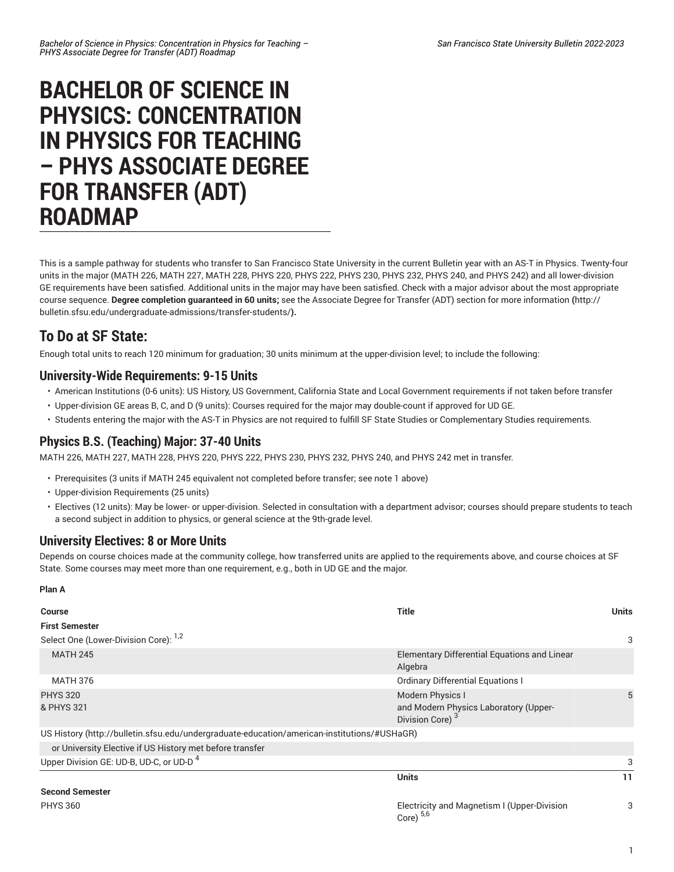# **BACHELOR OF SCIENCE IN PHYSICS: CONCENTRATION IN PHYSICS FOR TEACHING – PHYS ASSOCIATE DEGREE FOR TRANSFER (ADT) ROADMAP**

This is a sample pathway for students who transfer to San Francisco State University in the current Bulletin year with an AS-T in Physics. Twenty-four units in the major (MATH 226, MATH 227, MATH 228, PHYS 220, PHYS 222, PHYS 230, PHYS 232, PHYS 240, and PHYS 242) and all lower-division GE requirements have been satisfied. Additional units in the major may have been satisfied. Check with a major advisor about the most appropriate course sequence. **Degree completion guaranteed in 60 units;** see the Associate Degree for Transfer (ADT) section for more [information](http://bulletin.sfsu.edu/undergraduate-admissions/transfer-students/) **(**[http://](http://bulletin.sfsu.edu/undergraduate-admissions/transfer-students/) [bulletin.sfsu.edu/undergraduate-admissions/transfer-students/](http://bulletin.sfsu.edu/undergraduate-admissions/transfer-students/)**).**

## **To Do at SF State:**

Enough total units to reach 120 minimum for graduation; 30 units minimum at the upper-division level; to include the following:

### **University-Wide Requirements: 9-15 Units**

- American Institutions (0-6 units): US History, US Government, California State and Local Government requirements if not taken before transfer
- Upper-division GE areas B, C, and D (9 units): Courses required for the major may double-count if approved for UD GE.
- Students entering the major with the AS-T in Physics are not required to fulfill SF State Studies or Complementary Studies requirements.

### **Physics B.S. (Teaching) Major: 37-40 Units**

MATH 226, MATH 227, MATH 228, PHYS 220, PHYS 222, PHYS 230, PHYS 232, PHYS 240, and PHYS 242 met in transfer.

- Prerequisites (3 units if MATH 245 equivalent not completed before transfer; see note 1 above)
- Upper-division Requirements (25 units)
- Electives (12 units): May be lower- or upper-division. Selected in consultation with a department advisor; courses should prepare students to teach a second subject in addition to physics, or general science at the 9th-grade level.

#### **University Electives: 8 or More Units**

**Plan A**

Depends on course choices made at the community college, how transferred units are applied to the requirements above, and course choices at SF State. Some courses may meet more than one requirement, e.g., both in UD GE and the major.

| <b>Course</b>                                                                               | <b>Title</b>                                                                             | Units |  |
|---------------------------------------------------------------------------------------------|------------------------------------------------------------------------------------------|-------|--|
| <b>First Semester</b>                                                                       |                                                                                          |       |  |
| Select One (Lower-Division Core): <sup>1,2</sup>                                            |                                                                                          | 3     |  |
| <b>MATH 245</b>                                                                             | Elementary Differential Equations and Linear<br>Algebra                                  |       |  |
| <b>MATH 376</b>                                                                             | <b>Ordinary Differential Equations I</b>                                                 |       |  |
| <b>PHYS 320</b><br>& PHYS 321                                                               | Modern Physics I<br>and Modern Physics Laboratory (Upper-<br>Division Core) <sup>3</sup> |       |  |
| US History (http://bulletin.sfsu.edu/undergraduate-education/american-institutions/#USHaGR) |                                                                                          |       |  |
| or University Elective if US History met before transfer                                    |                                                                                          |       |  |
| Upper Division GE: UD-B, UD-C, or UD-D <sup>4</sup>                                         |                                                                                          | 3     |  |
|                                                                                             | <b>Units</b>                                                                             | 11    |  |
| <b>Second Semester</b>                                                                      |                                                                                          |       |  |
| <b>PHYS 360</b>                                                                             | Electricity and Magnetism I (Upper-Division<br>Core) $5,6$                               | 3     |  |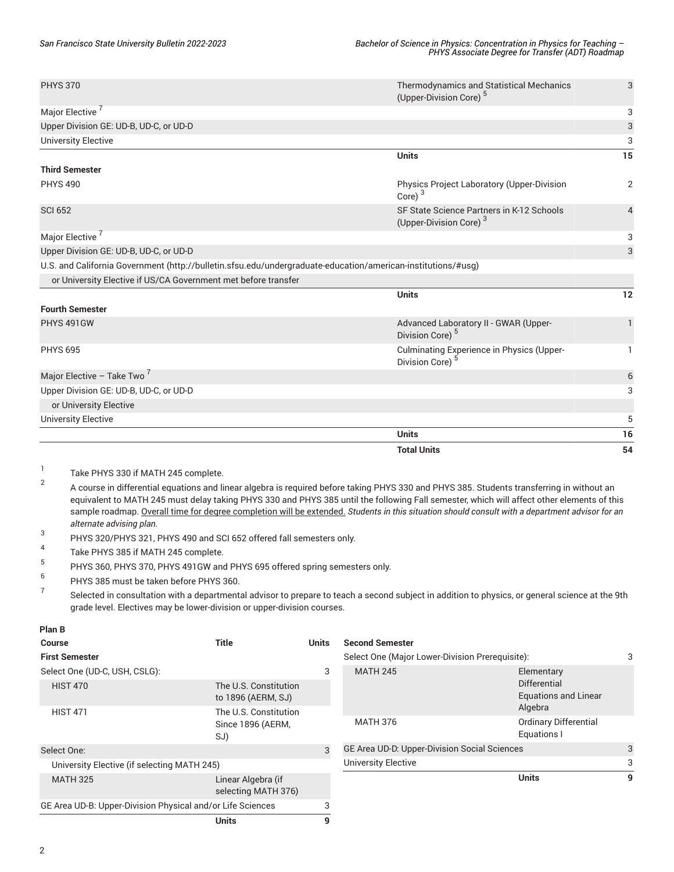|                                                                                                              | <b>Total Units</b>                                                              | 54             |
|--------------------------------------------------------------------------------------------------------------|---------------------------------------------------------------------------------|----------------|
|                                                                                                              | <b>Units</b>                                                                    | 16             |
| <b>University Elective</b>                                                                                   |                                                                                 | 5              |
| or University Elective                                                                                       |                                                                                 |                |
| Upper Division GE: UD-B, UD-C, or UD-D                                                                       |                                                                                 | 3              |
| Major Elective - Take Two                                                                                    |                                                                                 | 6              |
| <b>PHYS 695</b>                                                                                              | Culminating Experience in Physics (Upper-<br>Division Core)                     | 1.             |
| PHYS 491GW                                                                                                   | Advanced Laboratory II - GWAR (Upper-<br>Division Core) <sup>5</sup>            | $\mathbf{1}$   |
| <b>Fourth Semester</b>                                                                                       | <b>Units</b>                                                                    | 12             |
| or University Elective if US/CA Government met before transfer                                               |                                                                                 |                |
| U.S. and California Government (http://bulletin.sfsu.edu/undergraduate-education/american-institutions/#usg) |                                                                                 |                |
| Upper Division GE: UD-B, UD-C, or UD-D                                                                       |                                                                                 | 3              |
| Major Elective <sup>7</sup>                                                                                  |                                                                                 | 3              |
| <b>SCI 652</b>                                                                                               | SF State Science Partners in K-12 Schools<br>(Upper-Division Core) <sup>3</sup> | 4              |
| <b>PHYS 490</b>                                                                                              | Physics Project Laboratory (Upper-Division<br>Core) $3$                         | $\overline{2}$ |
| <b>Third Semester</b>                                                                                        | <b>Units</b>                                                                    | 15             |
| <b>University Elective</b>                                                                                   |                                                                                 | 3              |
| Upper Division GE: UD-B, UD-C, or UD-D                                                                       |                                                                                 | 3              |
| Major Elective <sup>7</sup>                                                                                  |                                                                                 | 3              |
|                                                                                                              | (Upper-Division Core) <sup>5</sup>                                              |                |
| <b>PHYS 370</b>                                                                                              | <b>Thermodynamics and Statistical Mechanics</b>                                 | 3              |

1 Take PHYS 330 if MATH 245 complete.

- 2 A course in differential equations and linear algebra is required before taking PHYS 330 and PHYS 385. Students transferring in without an equivalent to MATH 245 must delay taking PHYS 330 and PHYS 385 until the following Fall semester, which will affect other elements of this sample roadmap. Overall time for degree completion will be extended. Students in this situation should consult with a department advisor for an *alternate advising plan.*
- 3 PHYS 320/PHYS 321, PHYS 490 and SCI 652 offered fall semesters only.
- 4 Take PHYS 385 if MATH 245 complete.
- 5 PHYS 360, PHYS 370, PHYS 491GW and PHYS 695 offered spring semesters only.
- 6 PHYS 385 must be taken before PHYS 360.
- 7 Selected in consultation with a departmental advisor to prepare to teach a second subject in addition to physics, or general science at the 9th grade level. Electives may be lower-division or upper-division courses.

| <b>Course</b>                                              | <b>Title</b>                                      | <b>Units</b> | <b>Second Semester</b>                          |                                             |   |
|------------------------------------------------------------|---------------------------------------------------|--------------|-------------------------------------------------|---------------------------------------------|---|
| <b>First Semester</b>                                      |                                                   |              | Select One (Major Lower-Division Prerequisite): |                                             | 3 |
| Select One (UD-C, USH, CSLG):                              |                                                   | 3            | <b>MATH 245</b>                                 | Elementary                                  |   |
| <b>HIST 470</b>                                            | The U.S. Constitution<br>to 1896 (AERM, SJ)       |              |                                                 | Differential<br><b>Equations and Linear</b> |   |
| <b>HIST 471</b>                                            | The U.S. Constitution<br>Since 1896 (AERM,<br>SJ) |              |                                                 | Algebra                                     |   |
|                                                            |                                                   |              | <b>MATH 376</b>                                 | <b>Ordinary Differential</b><br>Equations I |   |
| Select One:                                                |                                                   | 3            | GE Area UD-D: Upper-Division Social Sciences    |                                             | 3 |
| University Elective (if selecting MATH 245)                |                                                   |              | <b>University Elective</b>                      |                                             | 3 |
| <b>MATH 325</b>                                            | Linear Algebra (if<br>selecting MATH 376)         |              |                                                 | <b>Units</b>                                | 9 |
| GE Area UD-B: Upper-Division Physical and/or Life Sciences |                                                   |              |                                                 |                                             |   |
|                                                            | <b>Units</b>                                      | 9            |                                                 |                                             |   |

**Plan B**